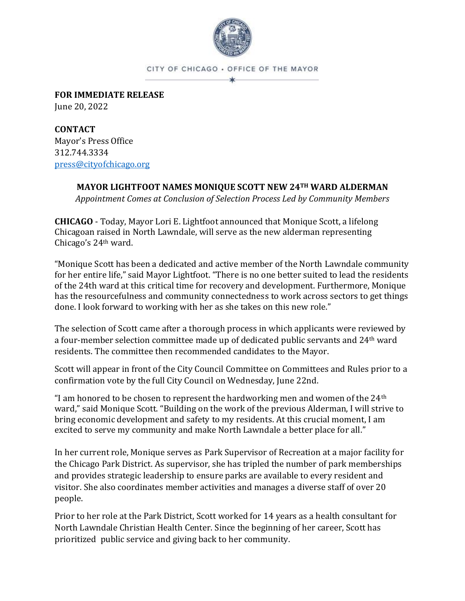

CITY OF CHICAGO . OFFICE OF THE MAYOR

**FOR IMMEDIATE RELEASE** June 20, 2022

**CONTACT** Mayor's Press Office 312.744.3334 [press@cityofchicago.org](mailto:press@cityofchicago.org)

## **MAYOR LIGHTFOOT NAMES MONIQUE SCOTT NEW 24TH WARD ALDERMAN**

*Appointment Comes at Conclusion of Selection Process Led by Community Members*

**CHICAGO** - Today, Mayor Lori E. Lightfoot announced that Monique Scott, a lifelong Chicagoan raised in North Lawndale, will serve as the new alderman representing Chicago's 24th ward.

"Monique Scott has been a dedicated and active member of the North Lawndale community for her entire life," said Mayor Lightfoot. "There is no one better suited to lead the residents of the 24th ward at this critical time for recovery and development. Furthermore, Monique has the resourcefulness and community connectedness to work across sectors to get things done. I look forward to working with her as she takes on this new role."

The selection of Scott came after a thorough process in which applicants were reviewed by a four-member selection committee made up of dedicated public servants and 24th ward residents. The committee then recommended candidates to the Mayor.

Scott will appear in front of the City Council Committee on Committees and Rules prior to a confirmation vote by the full City Council on Wednesday, June 22nd.

"I am honored to be chosen to represent the hardworking men and women of the  $24<sup>th</sup>$ ward," said Monique Scott. "Building on the work of the previous Alderman, I will strive to bring economic development and safety to my residents. At this crucial moment, I am excited to serve my community and make North Lawndale a better place for all."

In her current role, Monique serves as Park Supervisor of Recreation at a major facility for the Chicago Park District. As supervisor, she has tripled the number of park memberships and provides strategic leadership to ensure parks are available to every resident and visitor. She also coordinates member activities and manages a diverse staff of over 20 people.

Prior to her role at the Park District, Scott worked for 14 years as a health consultant for North Lawndale Christian Health Center. Since the beginning of her career, Scott has prioritized public service and giving back to her community.